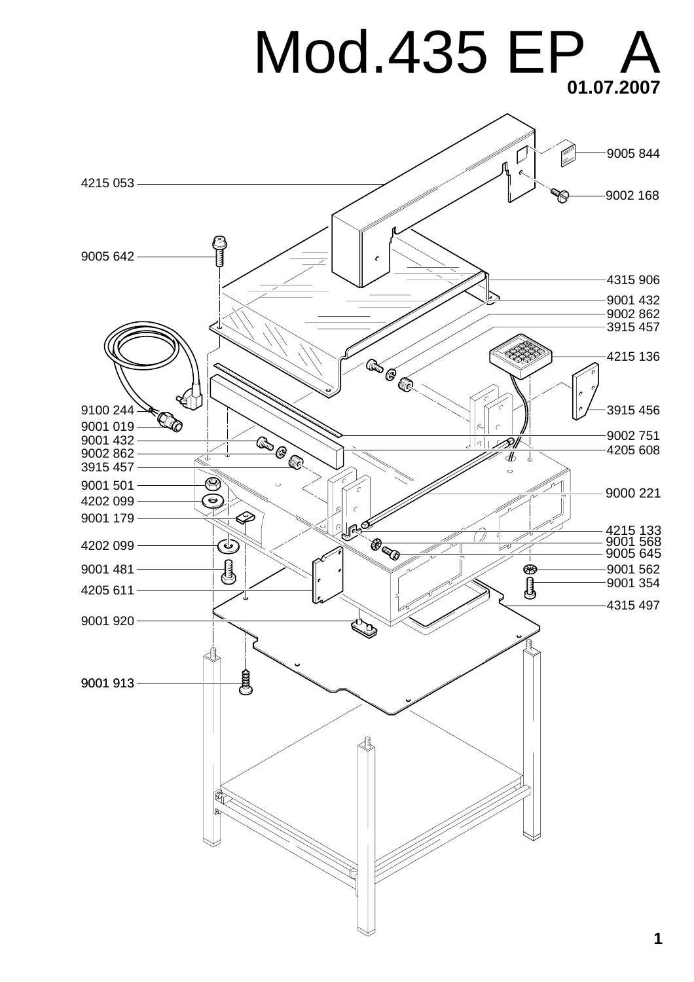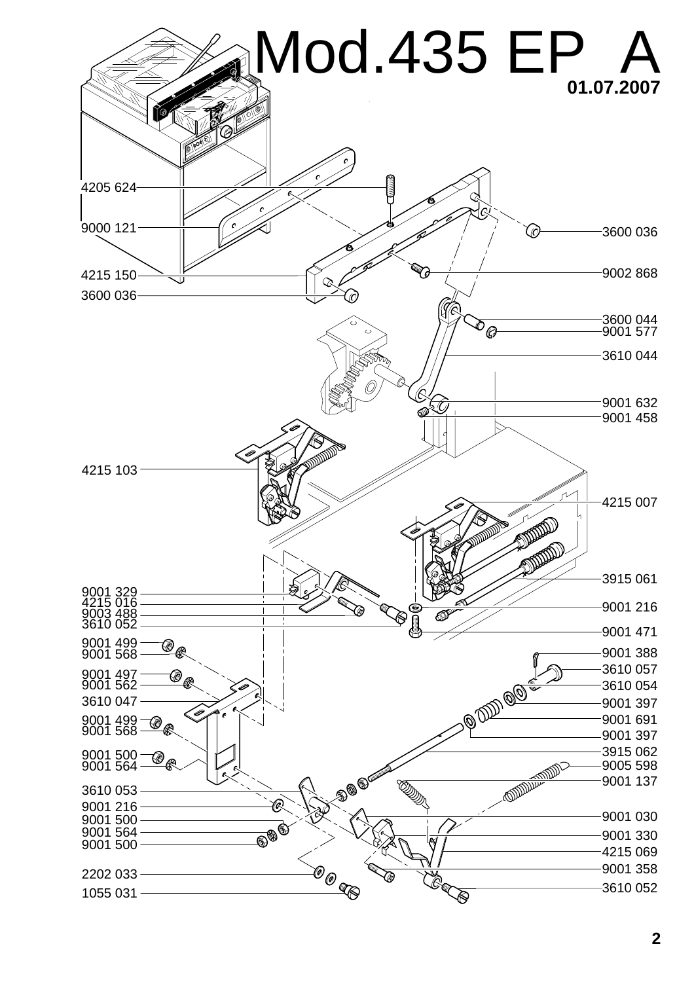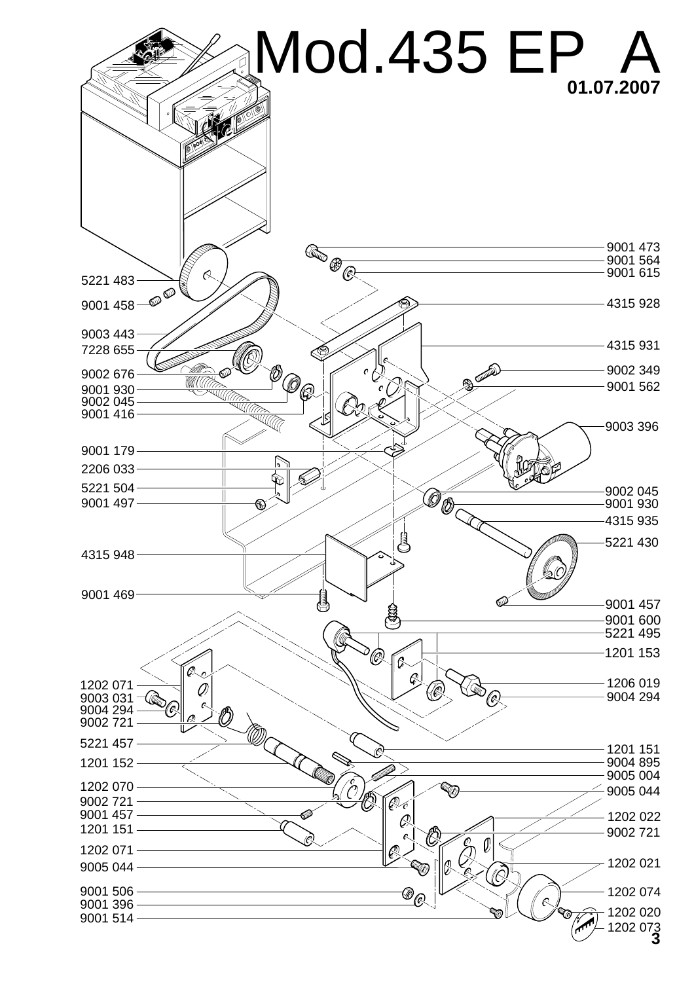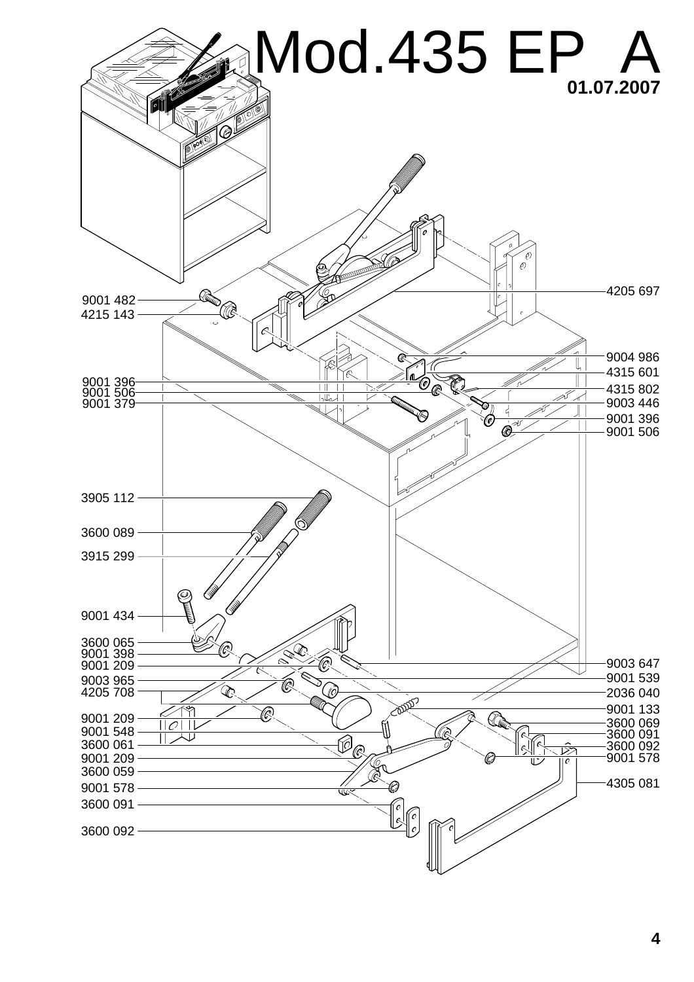![](_page_3_Figure_0.jpeg)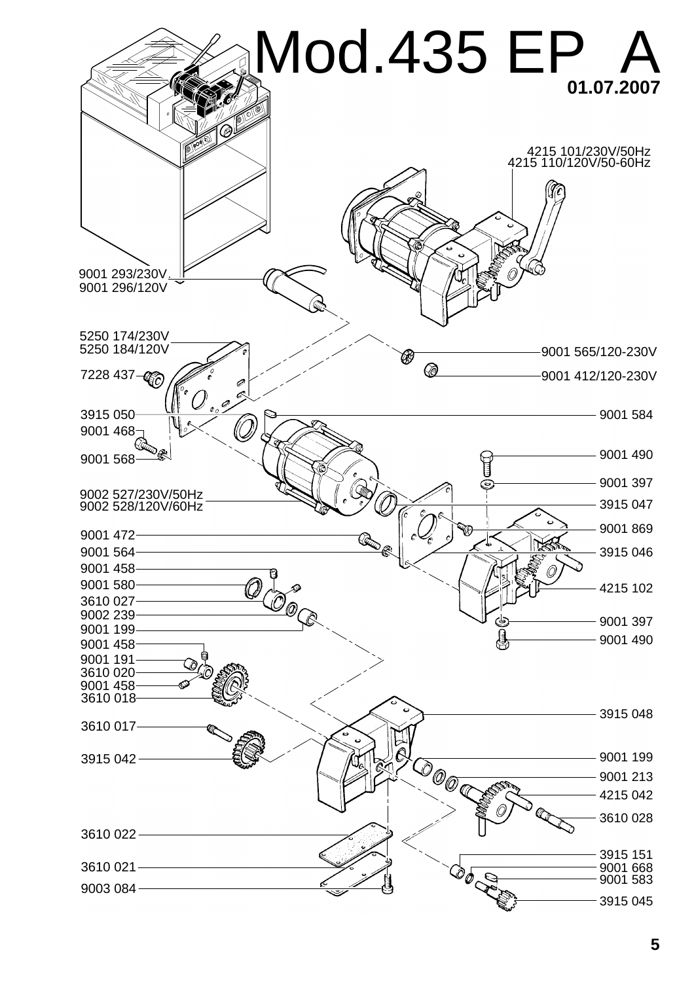![](_page_4_Figure_0.jpeg)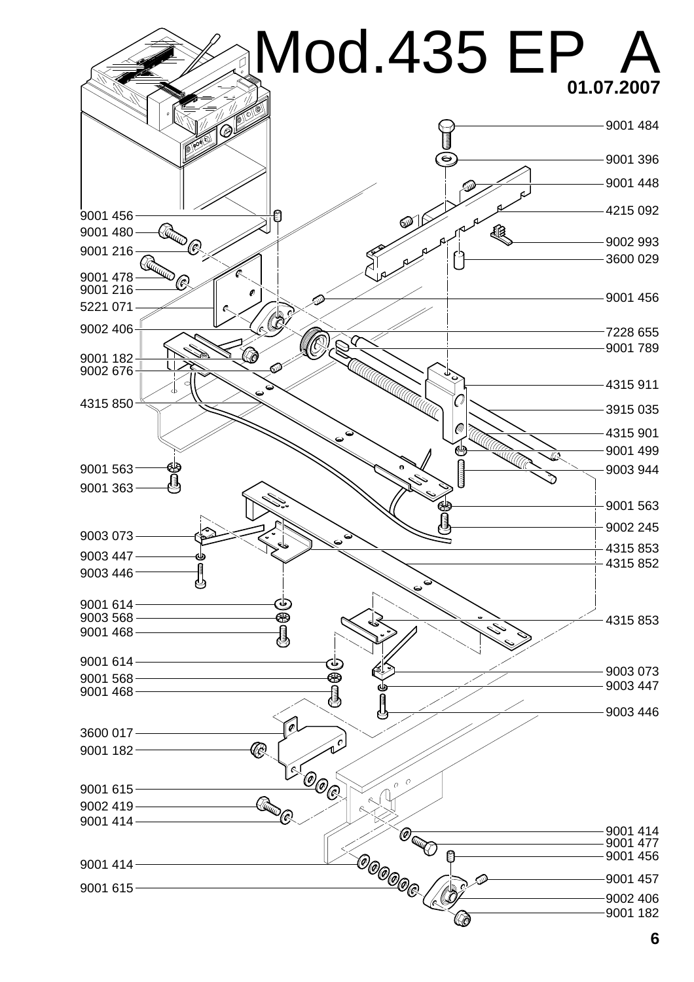![](_page_5_Figure_0.jpeg)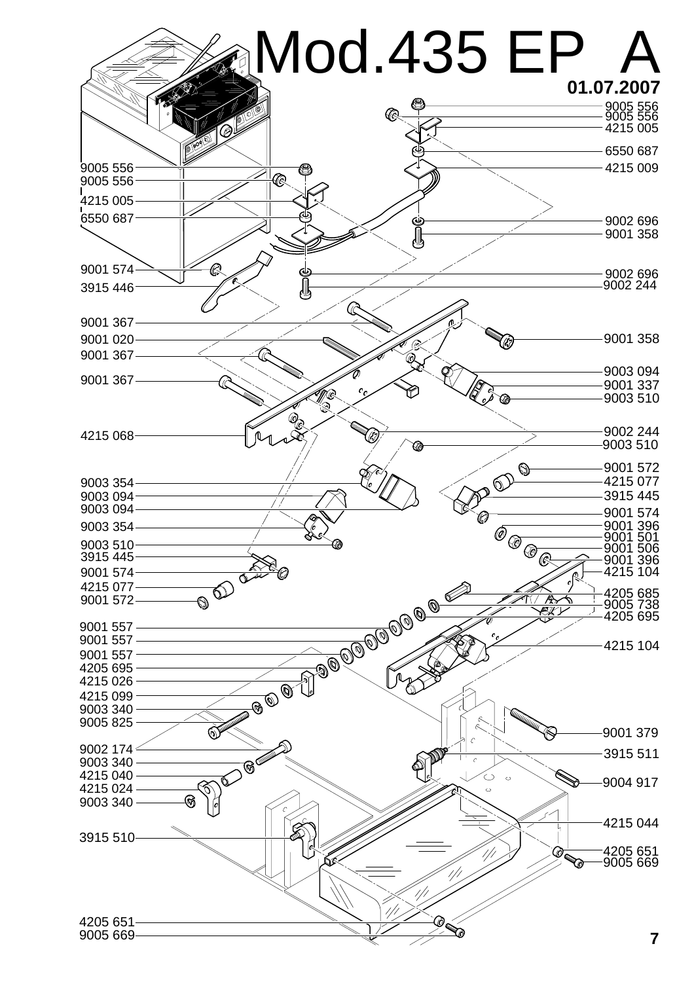![](_page_6_Figure_0.jpeg)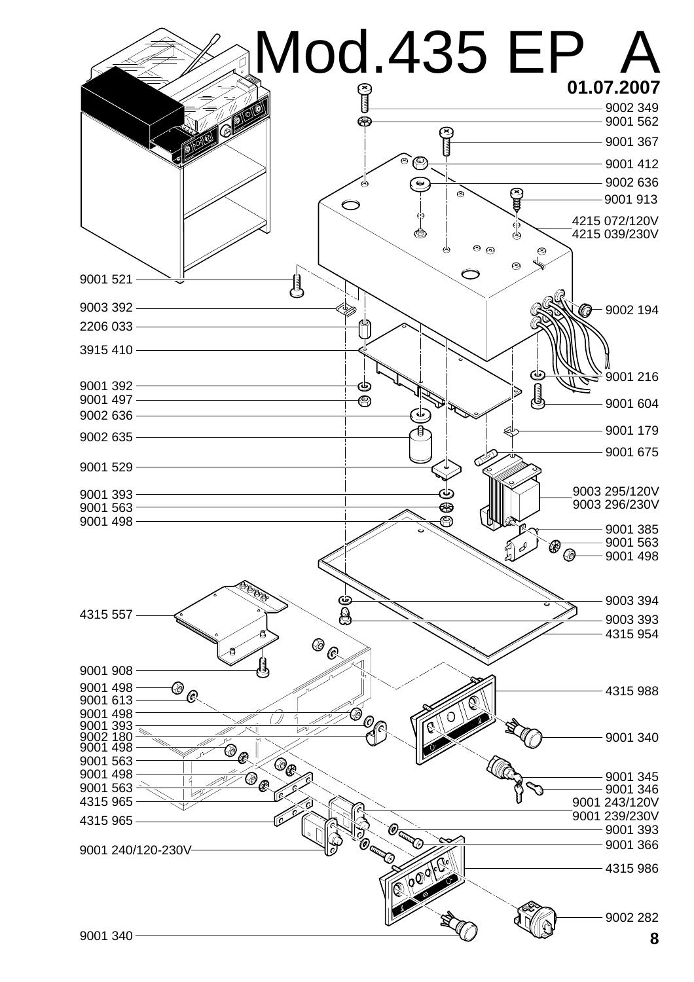![](_page_7_Figure_0.jpeg)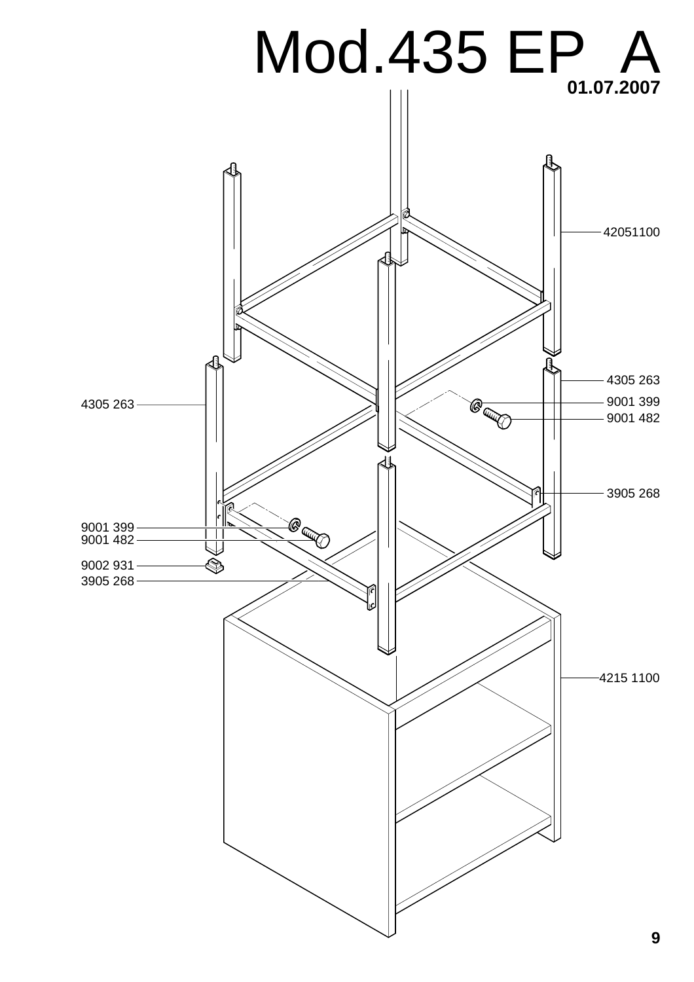![](_page_8_Figure_0.jpeg)

**9**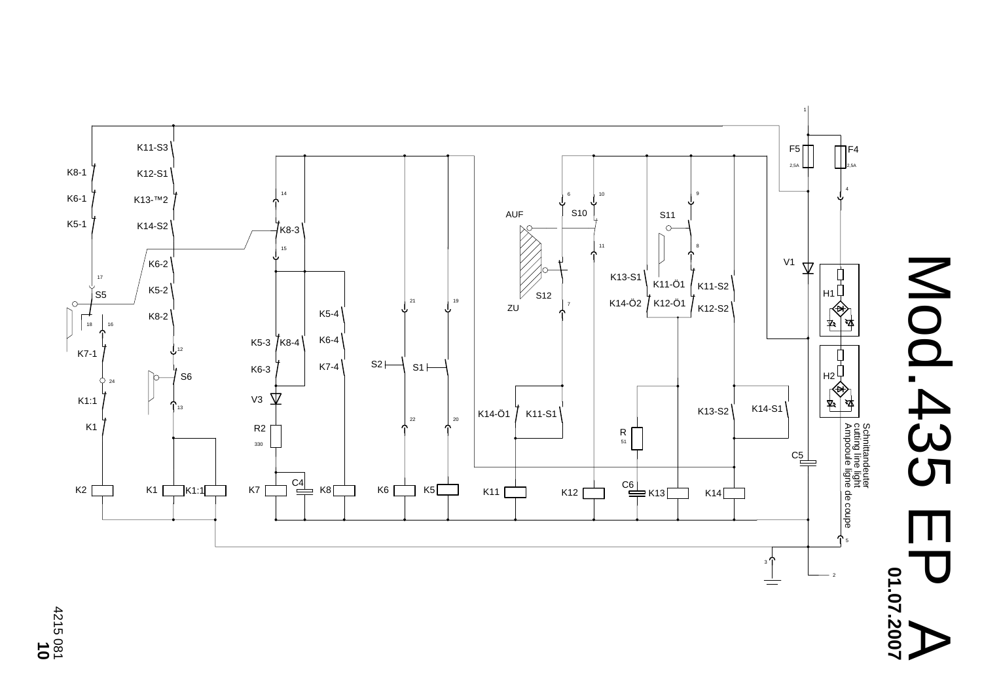![](_page_9_Figure_0.jpeg)

![](_page_9_Figure_1.jpeg)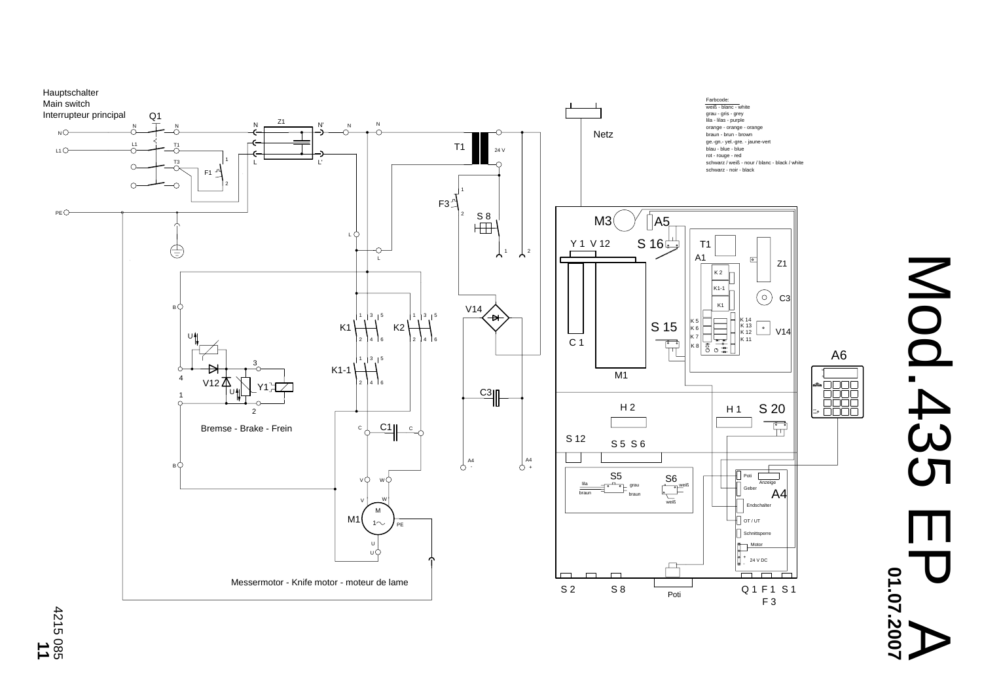![](_page_10_Figure_0.jpeg)

# Mod.435 EP A Mod.435 01.07.2007 **01.07.2007**

**11** 4215 085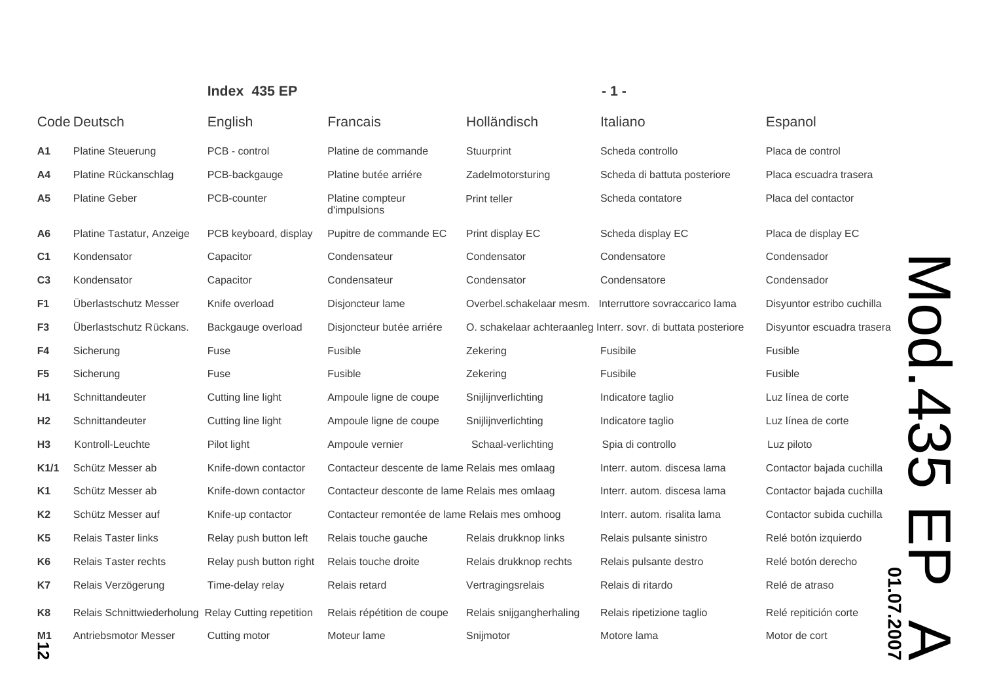|                     | <b>Code Deutsch</b>                                 | English                 | Francais                                      | Holländisch              | Italiano                                                       | Espanol               |
|---------------------|-----------------------------------------------------|-------------------------|-----------------------------------------------|--------------------------|----------------------------------------------------------------|-----------------------|
| A1                  | <b>Platine Steuerung</b>                            | PCB - control           | Platine de commande                           | Stuurprint               | Scheda controllo                                               | Placa de control      |
| A4                  | Platine Rückanschlag                                | PCB-backgauge           | Platine butée arriére                         | Zadelmotorsturing        | Scheda di battuta posteriore                                   | Placa escuadra tras   |
| A <sub>5</sub>      | <b>Platine Geber</b>                                | PCB-counter             | Platine compteur<br>d'impulsions              | Print teller             | Scheda contatore                                               | Placa del contactor   |
| A <sub>6</sub>      | Platine Tastatur, Anzeige                           | PCB keyboard, display   | Pupitre de commande EC                        | Print display EC         | Scheda display EC                                              | Placa de display EC   |
| C <sub>1</sub>      | Kondensator                                         | Capacitor               | Condensateur                                  | Condensator              | Condensatore                                                   | Condensador           |
| C <sub>3</sub>      | Kondensator                                         | Capacitor               | Condensateur                                  | Condensator              | Condensatore                                                   | Condensador           |
| F <sub>1</sub>      | Überlastschutz Messer                               | Knife overload          | Disjoncteur lame                              | Overbel.schakelaar mesm. | Interruttore sovraccarico lama                                 | Disyuntor estribo cu  |
| F <sub>3</sub>      | Überlastschutz Rückans.                             | Backgauge overload      | Disjoncteur butée arriére                     |                          | O. schakelaar achteraanleg Interr. sovr. di buttata posteriore | Disyuntor escuadra    |
| F4                  | Sicherung                                           | Fuse                    | Fusible                                       | Zekering                 | Fusibile                                                       | Fusible               |
| F <sub>5</sub>      | Sicherung                                           | Fuse                    | Fusible                                       | Zekering                 | Fusibile                                                       | Fusible               |
| H <sub>1</sub>      | Schnittandeuter                                     | Cutting line light      | Ampoule ligne de coupe                        | Snijlijnverlichting      | Indicatore taglio                                              | Luz línea de corte    |
| H <sub>2</sub>      | Schnittandeuter                                     | Cutting line light      | Ampoule ligne de coupe                        | Snijlijnverlichting      | Indicatore taglio                                              | Luz línea de corte    |
| H3                  | Kontroll-Leuchte                                    | Pilot light             | Ampoule vernier                               | Schaal-verlichting       | Spia di controllo                                              | Luz piloto            |
| K1/1                | Schütz Messer ab                                    | Knife-down contactor    | Contacteur descente de lame Relais mes omlaag |                          | Interr. autom. discesa lama                                    | Contactor bajada cu   |
| K <sub>1</sub>      | Schütz Messer ab                                    | Knife-down contactor    | Contacteur desconte de lame Relais mes omlaag |                          | Interr. autom. discesa lama                                    | Contactor bajada cu   |
| K <sub>2</sub>      | Schütz Messer auf                                   | Knife-up contactor      | Contacteur remontée de lame Relais mes omhoog |                          | Interr. autom. risalita lama                                   | Contactor subida cu   |
| K <sub>5</sub>      | <b>Relais Taster links</b>                          | Relay push button left  | Relais touche gauche                          | Relais drukknop links    | Relais pulsante sinistro                                       | Relé botón izquierd   |
| K <sub>6</sub>      | <b>Relais Taster rechts</b>                         | Relay push button right | Relais touche droite                          | Relais drukknop rechts   | Relais pulsante destro                                         | Relé botón derecho    |
| K7                  | Relais Verzögerung                                  | Time-delay relay        | Relais retard                                 | Vertragingsrelais        | Relais di ritardo                                              | Relé de atraso        |
| K <sub>8</sub>      | Relais Schnittwiederholung Relay Cutting repetition |                         | Relais répétition de coupe                    | Relais snijgangherhaling | Relais ripetizione taglio                                      | Relé repitición corte |
| M <sub>1</sub><br>ᅩ | Antriebsmotor Messer                                | Cutting motor           | Moteur lame                                   | Snijmotor                | Motore lama                                                    | Motor de cort         |
|                     |                                                     |                         |                                               |                          |                                                                |                       |

**12**

### **Index 435 EP - 1 -**

Zadelmotorsturing **Packa Example Scheda di battuta posteriore** Placa escuadra trasera Scheda contatore Placa del contactorPrint display EC **beyon Scheda display EC** Placa de display EC Overbel.schakelaar mesm. Interruttore sovraccarico lama Disyuntor estribo cuchilla O. schakelaar achteraanleg Interr. sovr. di buttata posteriore Disyuntor escuadra trasera Snijlijnverlichting **Indicatore taglio** Schaal-verlichting Spia di controllo Luz piloto Relais mes omlaag interr. autom. discesa lama Contactor bajada cuchilla Relais mes omlaag interr. autom. discesa lama Contactor bajada cuchilla Relais mes omhoog litterr. autom. risalita lama Contactor subida cuchilla Relais drukknop links Relais pulsante sinistro Relais drukknop rechts Relais pulsante destro

Luz línea de corte Luz línea de corte é botó Relé botón derecho

Mod.435 EP A **Mod.43 01.07.2007** 01.07.200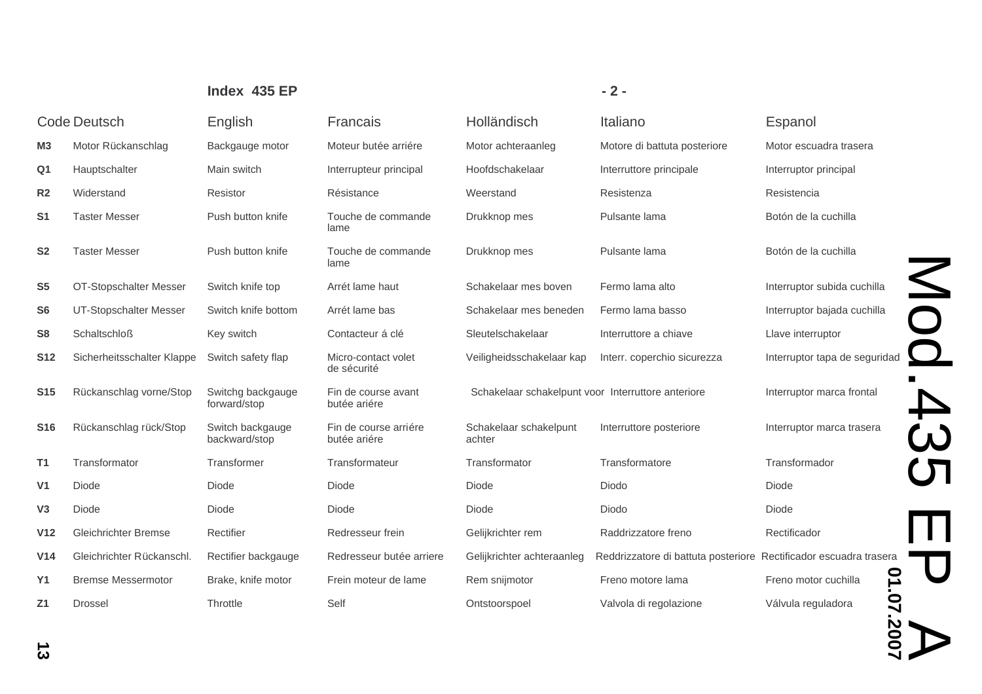|                     |                             | Index 435 EP                                                             |                                       |                                                    | $-2-$                                                             |                                        |
|---------------------|-----------------------------|--------------------------------------------------------------------------|---------------------------------------|----------------------------------------------------|-------------------------------------------------------------------|----------------------------------------|
| <b>Code Deutsch</b> |                             | English                                                                  | Francais                              | Holländisch                                        | Italiano                                                          | Espanol                                |
| M <sub>3</sub>      | Motor Rückanschlag          | Backgauge motor                                                          | Moteur butée arriére                  | Motor achteraanleg                                 | Motore di battuta posteriore                                      | Motor escuadra trasera                 |
| Q1                  | Hauptschalter               | Main switch                                                              | Interrupteur principal                | Hoofdschakelaar                                    | Interruttore principale                                           | Interruptor principal                  |
| R <sub>2</sub>      | Widerstand                  | Resistor                                                                 | Résistance                            | Weerstand                                          | Resistenza                                                        | Resistencia                            |
| S <sub>1</sub>      | <b>Taster Messer</b>        | Push button knife                                                        | Touche de commande<br>lame            | Drukknop mes                                       | Pulsante lama                                                     | Botón de la cuchilla                   |
| S <sub>2</sub>      | <b>Taster Messer</b>        | Push button knife                                                        | Touche de commande<br>lame            | Drukknop mes                                       | Pulsante lama                                                     | Botón de la cuchilla                   |
| S <sub>5</sub>      | OT-Stopschalter Messer      | Switch knife top                                                         | Arrét lame haut                       | Schakelaar mes boven                               | Fermo lama alto                                                   | Interruptor subida cuchilla            |
| S <sub>6</sub>      | UT-Stopschalter Messer      | Switch knife bottom                                                      | Arrét lame bas                        | Schakelaar mes beneden                             | Fermo lama basso                                                  | Interruptor bajada cuchilla            |
| S <sub>8</sub>      | <b>Schaltschloß</b>         | Key switch                                                               | Contacteur á clé                      | Sleutelschakelaar                                  | Interruttore a chiave                                             | Llave interruptor                      |
| <b>S12</b>          | Sicherheitsschalter Klappe  | Switch safety flap                                                       | Micro-contact volet<br>de sécurité    | Veiligheidsschakelaar kap                          | Interr. coperchio sicurezza                                       | Interruptor tapa de seguridad          |
| <b>S15</b>          | Rückanschlag vorne/Stop     | Switchg backgauge<br>Fin de course avant<br>forward/stop<br>butée ariére |                                       | Schakelaar schakelpunt voor Interruttore anteriore |                                                                   | Interruptor marca frontal              |
| <b>S16</b>          | Rückanschlag rück/Stop      | Switch backgauge<br>backward/stop                                        | Fin de course arriére<br>butée ariére | Schakelaar schakelpunt<br>achter                   | Interruttore posteriore                                           | Interruptor marca trasera              |
| T <sub>1</sub>      | Transformator               | Transformer                                                              | Transformateur                        | Transformator                                      | Transformatore                                                    | Transformador                          |
| V <sub>1</sub>      | Diode                       | Diode                                                                    | Diode                                 | Diode                                              | Diodo                                                             | Diode                                  |
| V <sub>3</sub>      | Diode                       | Diode                                                                    | Diode                                 | Diode                                              | Diodo                                                             | Diode                                  |
| V <sub>12</sub>     | <b>Gleichrichter Bremse</b> | Rectifier                                                                | Redresseur frein                      | Gelijkrichter rem                                  | Raddrizzatore freno                                               | Rectificador                           |
| V <sub>14</sub>     | Gleichrichter Rückanschl.   | Rectifier backgauge                                                      | Redresseur butée arriere              | Gelijkrichter achteraanleg                         | Reddrizzatore di battuta posteriore Rectificador escuadra trasera |                                        |
| <b>Y1</b>           | <b>Bremse Messermotor</b>   | Brake, knife motor                                                       | Frein moteur de lame                  | Rem snijmotor                                      | Freno motore lama                                                 | $\overline{a}$<br>Freno motor cuchilla |
| Z <sub>1</sub>      | <b>Drossel</b>              | Throttle                                                                 | Self                                  | Ontstoorspoel                                      | Valvola di regolazione                                            | 07.2007<br>Válvula reguladora          |
| ω                   |                             |                                                                          |                                       |                                                    |                                                                   |                                        |

## **13**